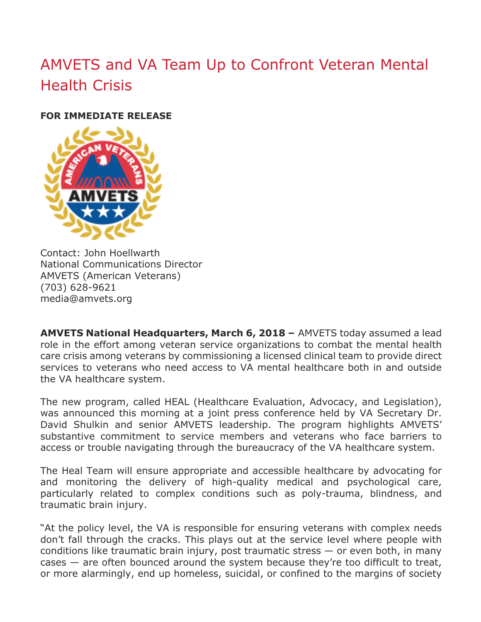## AMVETS and VA Team Up to Confront Veteran Mental Health Crisis

## **FOR IMMEDIATE RELEASE**



Contact: John Hoellwarth National Communications Director AMVETS (American Veterans) (703) 628-9621 media@amvets.org

**AMVETS National Headquarters, March 6, 2018 –** AMVETS today assumed a lead role in the effort among veteran service organizations to combat the mental health care crisis among veterans by commissioning a licensed clinical team to provide direct services to veterans who need access to VA mental healthcare both in and outside the VA healthcare system.

The new program, called HEAL (Healthcare Evaluation, Advocacy, and Legislation), was announced this morning at a joint press conference held by VA Secretary Dr. David Shulkin and senior AMVETS leadership. The program highlights AMVETS' substantive commitment to service members and veterans who face barriers to access or trouble navigating through the bureaucracy of the VA healthcare system.

The Heal Team will ensure appropriate and accessible healthcare by advocating for and monitoring the delivery of high-quality medical and psychological care, particularly related to complex conditions such as poly-trauma, blindness, and traumatic brain injury.

"At the policy level, the VA is responsible for ensuring veterans with complex needs don't fall through the cracks. This plays out at the service level where people with conditions like traumatic brain injury, post traumatic stress — or even both, in many cases — are often bounced around the system because they're too difficult to treat, or more alarmingly, end up homeless, suicidal, or confined to the margins of society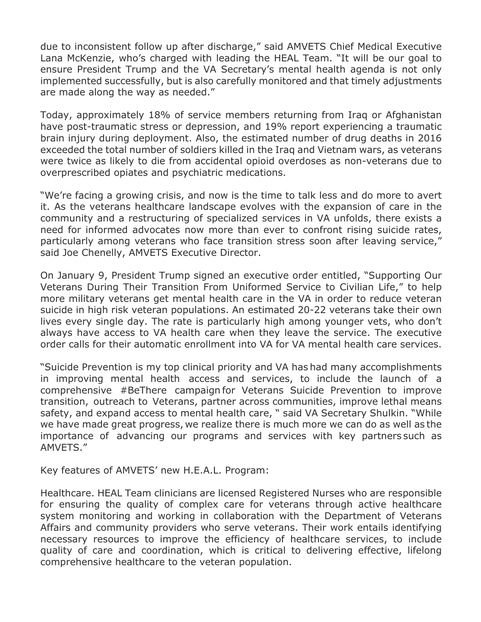due to inconsistent follow up after discharge," said AMVETS Chief Medical Executive Lana McKenzie, who's charged with leading the HEAL Team. "It will be our goal to ensure President Trump and the VA Secretary's mental health agenda is not only implemented successfully, but is also carefully monitored and that timely adjustments are made along the way as needed."

Today, approximately 18% of service members returning from Iraq or Afghanistan have post-traumatic stress or depression, and 19% report experiencing a traumatic brain injury during deployment. Also, the estimated number of drug deaths in 2016 exceeded the total number of soldiers killed in the Iraq and Vietnam wars, as veterans were twice as likely to die from accidental opioid overdoses as non-veterans due to overprescribed opiates and psychiatric medications.

"We're facing a growing crisis, and now is the time to talk less and do more to avert it. As the veterans healthcare landscape evolves with the expansion of care in the community and a restructuring of specialized services in VA unfolds, there exists a need for informed advocates now more than ever to confront rising suicide rates, particularly among veterans who face transition stress soon after leaving service," said Joe Chenelly, AMVETS Executive Director.

On January 9, President Trump signed an executive order entitled, "Supporting Our Veterans During Their Transition From Uniformed Service to Civilian Life," to help more military veterans get mental health care in the VA in order to reduce veteran suicide in high risk veteran populations. An estimated 20-22 veterans take their own lives every single day. The rate is particularly high among younger vets, who don't always have access to VA health care when they leave the service. The executive order calls for their automatic enrollment into VA for VA mental health care services.

"Suicide Prevention is my top clinical priority and VA has had many accomplishments in improving mental health access and services, to include the launch of a comprehensive #BeThere campaign for Veterans Suicide Prevention to improve transition, outreach to Veterans, partner across communities, improve lethal means safety, and expand access to mental health care, " said VA Secretary Shulkin. "While we have made great progress, we realize there is much more we can do as well as the importance of advancing our programs and services with key partners such as AMVETS."

Key features of AMVETS' new H.E.A.L. Program:

Healthcare. HEAL Team clinicians are licensed Registered Nurses who are responsible for ensuring the quality of complex care for veterans through active healthcare system monitoring and working in collaboration with the Department of Veterans Affairs and community providers who serve veterans. Their work entails identifying necessary resources to improve the efficiency of healthcare services, to include quality of care and coordination, which is critical to delivering effective, lifelong comprehensive healthcare to the veteran population.